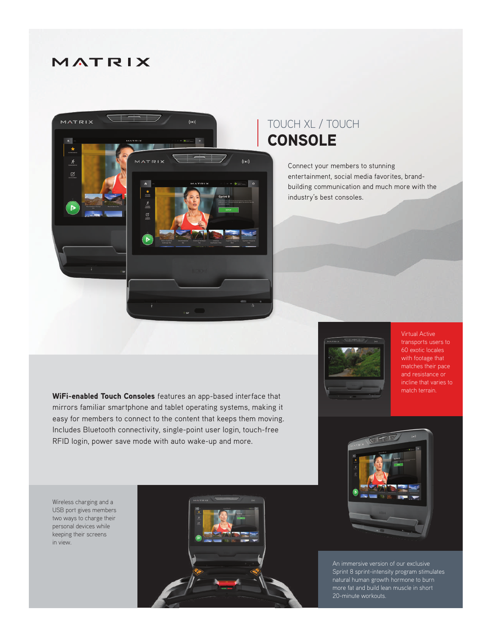## MATRIX



## TOUCH XL / TOUCH **CONSOLE**

Connect your members to stunning entertainment, social media favorites, brandbuilding communication and much more with the industry's best consoles.



Virtual Active transports users to 60 exotic locales with footage that matches their pace and resistance or incline that varies to match terrain.

WiFi-enabled Touch Consoles features an app-based interface that mirrors familiar smartphone and tablet operating systems, making it easy for members to connect to the content that keeps them moving. Includes Bluetooth connectivity, single-point user login, touch-free RFID login, power save mode with auto wake-up and more.



Sprint 8 sprint-intensity program stimulates natural human growth hormone to burn more fat and build lean muscle in short